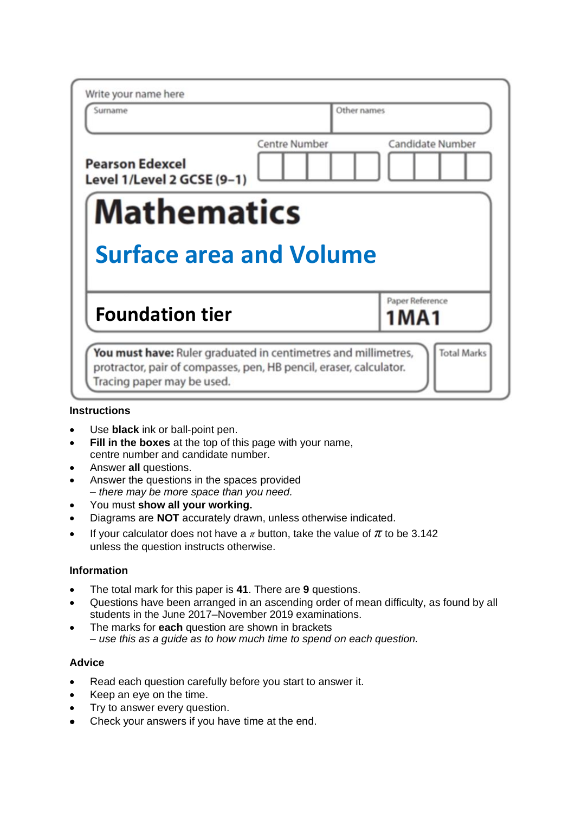| Write your name here<br>Surname                      | Other names                              |
|------------------------------------------------------|------------------------------------------|
|                                                      |                                          |
| <b>Pearson Edexcel</b><br>Level 1/Level 2 GCSE (9-1) | <b>Centre Number</b><br>Candidate Number |
| <b>Mathematics</b>                                   |                                          |
|                                                      |                                          |
| <b>Surface area and Volume</b>                       |                                          |
| <b>Foundation tier</b>                               | Paper Reference<br>1 M A 1               |

## **Instructions**

- Use **black** ink or ball-point pen.
- **Fill in the boxes** at the top of this page with your name, centre number and candidate number.
- Answer **all** questions.
- Answer the questions in the spaces provided *– there may be more space than you need.*
- You must **show all your working.**
- Diagrams are **NOT** accurately drawn, unless otherwise indicated.
- If your calculator does not have a  $\pi$  button, take the value of  $\pi$  to be 3.142 unless the question instructs otherwise.

# **Information**

- The total mark for this paper is **41**. There are **9** questions.
- Questions have been arranged in an ascending order of mean difficulty, as found by all students in the June 2017–November 2019 examinations.
- The marks for **each** question are shown in brackets *– use this as a guide as to how much time to spend on each question.*

#### **Advice**

- Read each question carefully before you start to answer it.
- Keep an eye on the time.
- Try to answer every question.
- Check your answers if you have time at the end.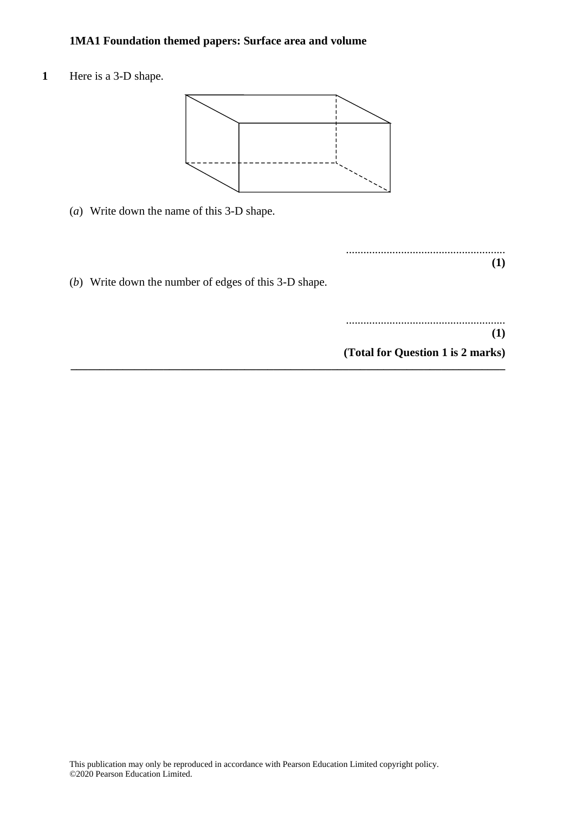1 Here is a 3-D shape.



**\_\_\_\_\_\_\_\_\_\_\_\_\_\_\_\_\_\_\_\_\_\_\_\_\_\_\_\_\_\_\_\_\_\_\_\_\_\_\_\_\_\_\_\_\_\_\_\_\_\_\_\_\_\_\_\_\_\_\_\_\_\_\_\_\_\_\_\_\_\_\_\_\_\_\_**

(*a*) Write down the name of this 3-D shape. (a) Write down the name of this 3-D shape.

.......................................................  $(1)$ 

(*b*) Write down the number of edges of this 3-D shape.

....................................................... **(1) (Total for Question 1 is 2 marks) (1)** .......................................................

**(Total for Question 5 is 2 marks)**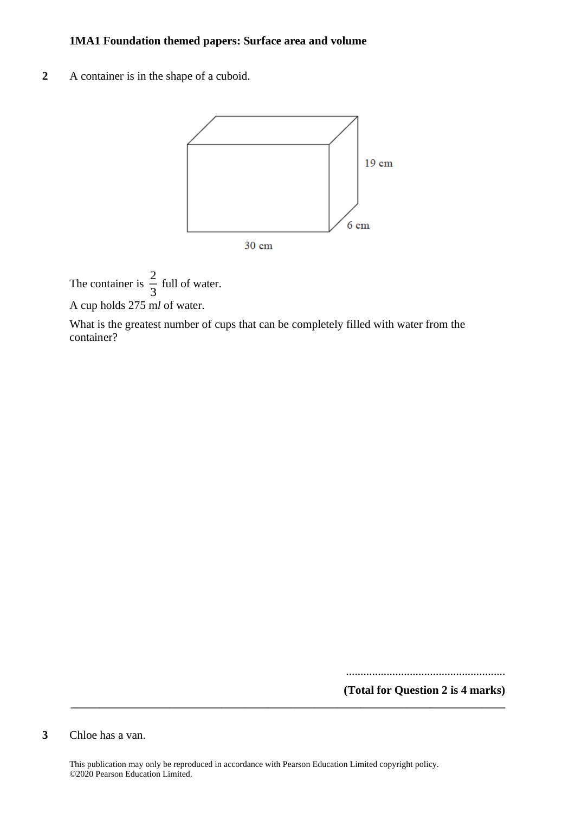**2** A container is in the shape of a cuboid.



The container is  $\frac{2}{3}$  $\frac{2}{3}$  full of water.

A cup holds 275 m*l* of water.

What is the greatest number of cups that can be completely filled with water from the container?

.......................................................

**(Total for Question 2 is 4 marks)**

**3** Chloe has a van.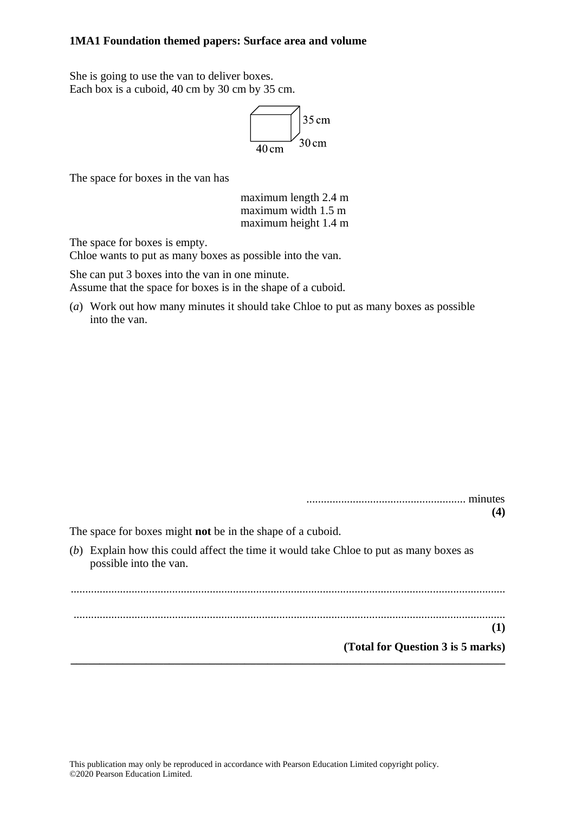She is going to use the van to deliver boxes. Each box is a cuboid, 40 cm by 30 cm by 35 cm.



The space for boxes in the van has

maximum length 2.4 m maximum width 1.5 m maximum height 1.4 m

The space for boxes is empty.

Chloe wants to put as many boxes as possible into the van.

She can put 3 boxes into the van in one minute. Assume that the space for boxes is in the shape of a cuboid.

(*a*) Work out how many minutes it should take Chloe to put as many boxes as possible into the van.

| minutes<br>(4)                                                                                                   |
|------------------------------------------------------------------------------------------------------------------|
| The space for boxes might <b>not</b> be in the shape of a cuboid.                                                |
| (b) Explain how this could affect the time it would take Chloe to put as many boxes as<br>possible into the van. |
| (1)<br>(Total for Question 3 is 5 marks)                                                                         |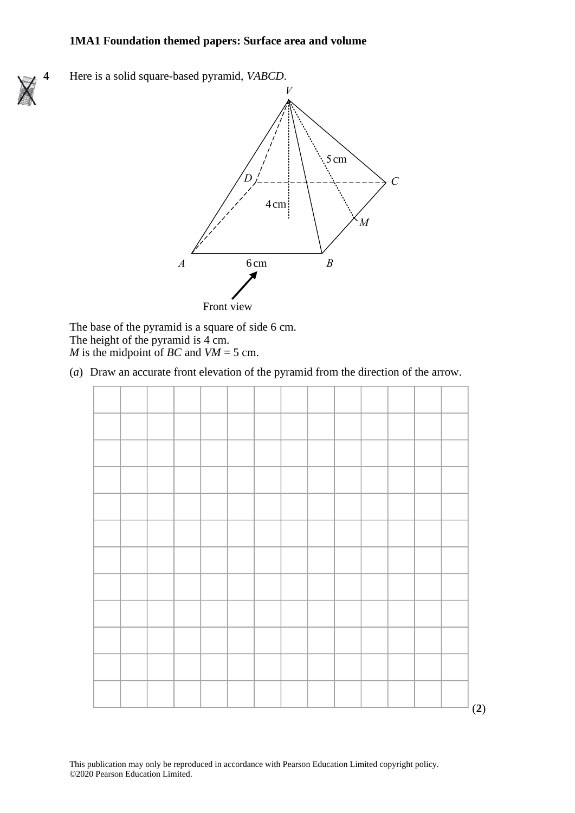**4** Here is a solid square-based pyramid, *VABCD*. **23** Here is <sup>a</sup> solid square-based pyramid, *VABCD*. *V*



The base of the pyramid is a square of side 6 cm. The base of the pyramid is <sup>a</sup> square of side 6cm. The height of the pyramid is 4 cm. *M* is the midpoint of *BC* and  $VM = 5$  cm. The base of the pyramid is a sq

(*a*) Draw an accurate front elevation of the pyramid from the direction of the arrow. (a) Draw an accurate front elevation of the pyramid from the direction of the arrow. (a) Draw and accurate from the pyramid from the pyramid from the pyramid from the arrow.

|  |  |  |  |  |  |  | (2) |
|--|--|--|--|--|--|--|-----|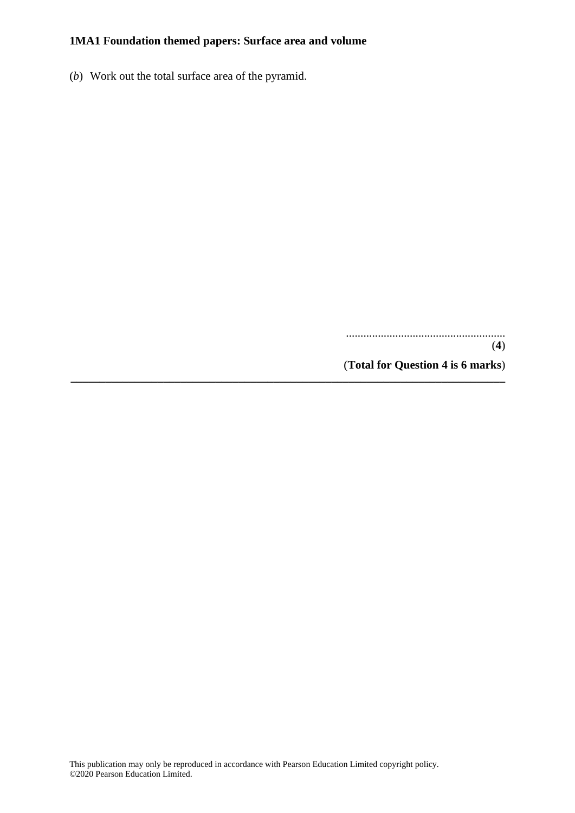(*b*) Work out the total surface area of the pyramid.

....................................................... (**4**) (**Total for Question 4 is 6 marks**) **\_\_\_\_\_\_\_\_\_\_\_\_\_\_\_\_\_\_\_\_\_\_\_\_\_\_\_\_\_\_\_\_\_\_\_\_\_\_\_\_\_\_\_\_\_\_\_\_\_\_\_\_\_\_\_\_\_\_\_\_\_\_\_\_\_\_\_\_\_\_\_\_\_\_\_**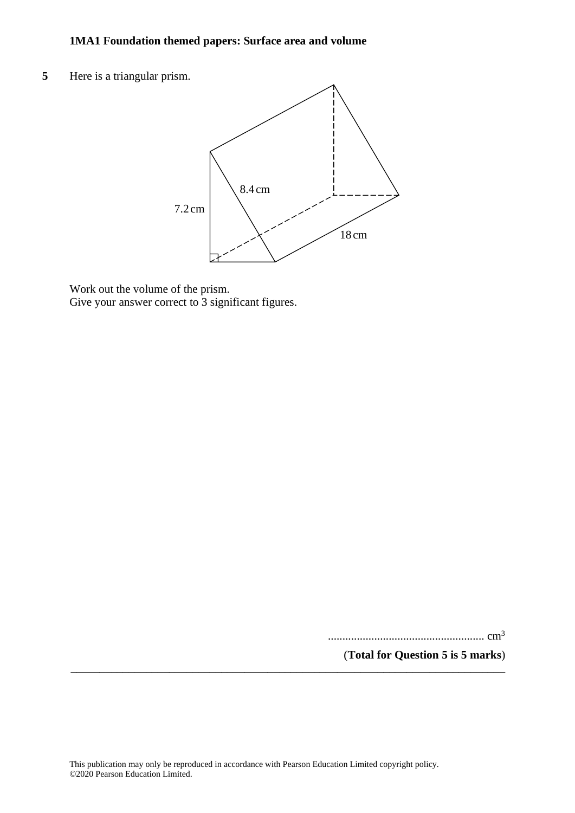**5** Here is a triangular prism. **26** Here is <sup>a</sup> triangular prism.



Work out the volume of the prism. Work out the volume of the prism. Give your answer correct to 3 significant figures. Give your answer correct to 3 significant figures.

...................................................... cm<sup>3</sup>

(**Total for Question 5 is 5 marks**)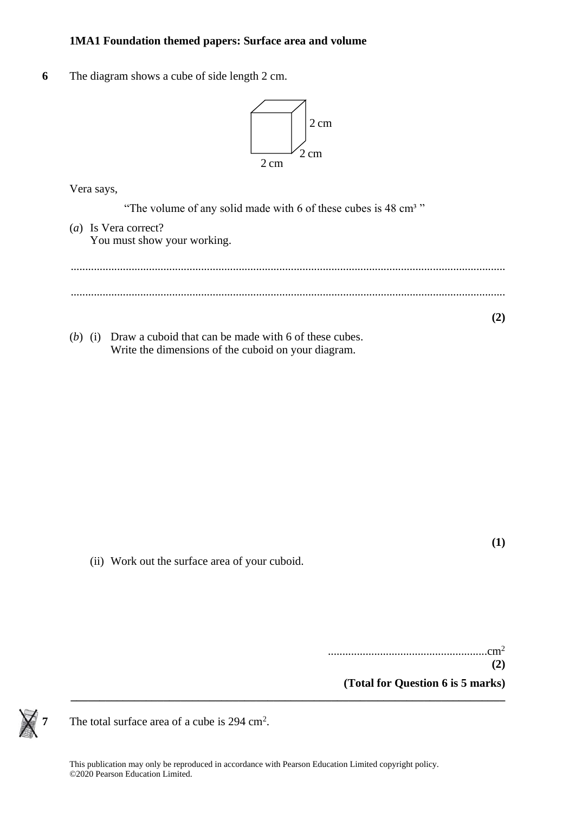**6** The diagram shows a cube of side length 2 cm.



Vera says, Vera says,

"The volume of any solid made with 6 of these cubes is 48 cm<sup>3</sup>"

- (*a*) Is Vera correct? (a) Is Vera correct? You must show your working. You must show your working. ...................................................................................................................................................... ...................................................................................................................................................... **(2)**
- (*b*) (i) Draw a cuboid that can be made with 6 of these cubes. Write the dimensions of the cuboid on your diagram.

**(1)**

(ii) Work out the surface area of your cuboid.

.......................................................cm<sup>2</sup> **(2) (Total for Question 6 is 5 marks)**



**7** The total surface area of a cube is 294 cm<sup>2</sup>.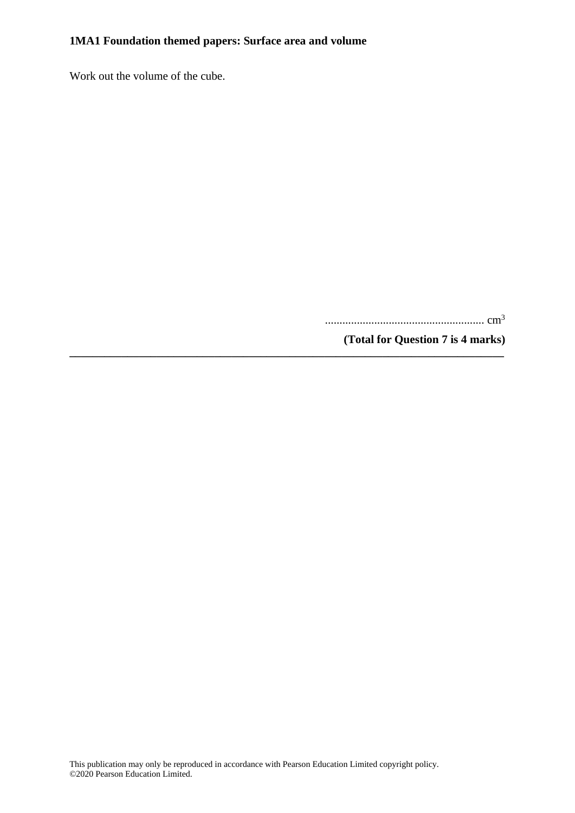Work out the volume of the cube.

....................................................... cm<sup>3</sup>

**(Total for Question 7 is 4 marks)**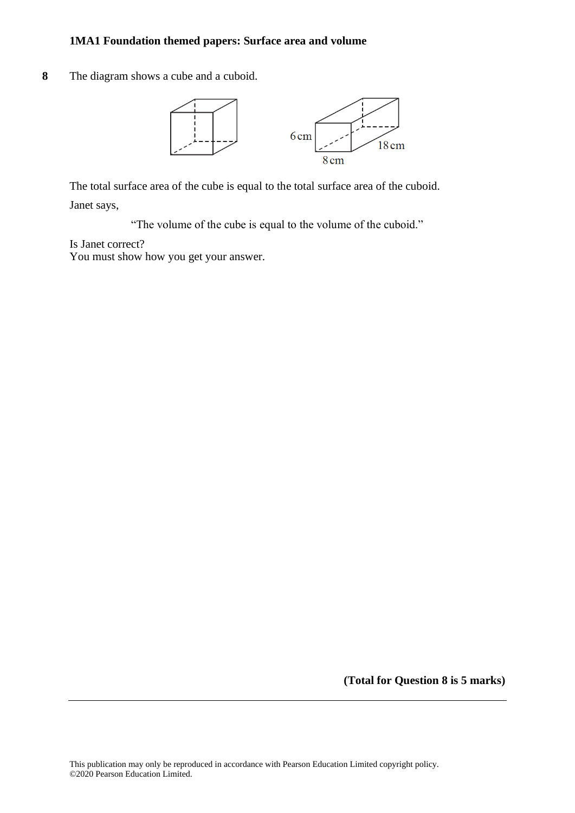**8** The diagram shows a cube and a cuboid.



The total surface area of the cube is equal to the total surface area of the cuboid. Janet says,

"The volume of the cube is equal to the volume of the cuboid."

Is Janet correct?

You must show how you get your answer.

**(Total for Question 8 is 5 marks)**